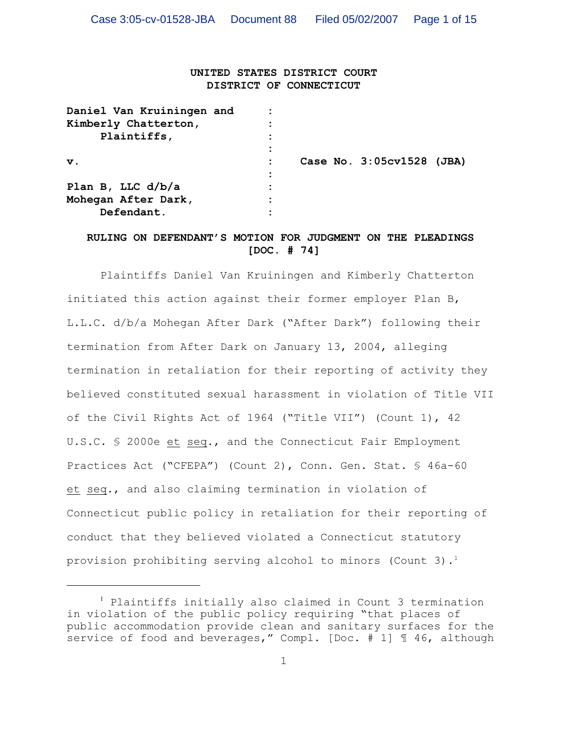# **UNITED STATES DISTRICT COURT DISTRICT OF CONNECTICUT**

| Daniel Van Kruiningen and |  |                           |  |
|---------------------------|--|---------------------------|--|
| Kimberly Chatterton,      |  |                           |  |
| Plaintiffs,               |  |                           |  |
|                           |  |                           |  |
| $\mathbf v$ .             |  | Case No. 3:05cv1528 (JBA) |  |
|                           |  |                           |  |
| Plan B, LLC $d/b/a$       |  |                           |  |
| Mohegan After Dark,       |  |                           |  |
| Defendant.                |  |                           |  |

# **RULING ON DEFENDANT'S MOTION FOR JUDGMENT ON THE PLEADINGS [DOC. # 74]**

Plaintiffs Daniel Van Kruiningen and Kimberly Chatterton initiated this action against their former employer Plan B, L.L.C. d/b/a Mohegan After Dark ("After Dark") following their termination from After Dark on January 13, 2004, alleging termination in retaliation for their reporting of activity they believed constituted sexual harassment in violation of Title VII of the Civil Rights Act of 1964 ("Title VII") (Count 1), 42 U.S.C. § 2000e et seq., and the Connecticut Fair Employment Practices Act ("CFEPA") (Count 2), Conn. Gen. Stat. § 46a-60 et seq., and also claiming termination in violation of Connecticut public policy in retaliation for their reporting of conduct that they believed violated a Connecticut statutory provision prohibiting serving alcohol to minors (Count 3). 1

 $<sup>1</sup>$  Plaintiffs initially also claimed in Count 3 termination</sup> in violation of the public policy requiring "that places of public accommodation provide clean and sanitary surfaces for the service of food and beverages," Compl. [Doc. # 1] 146, although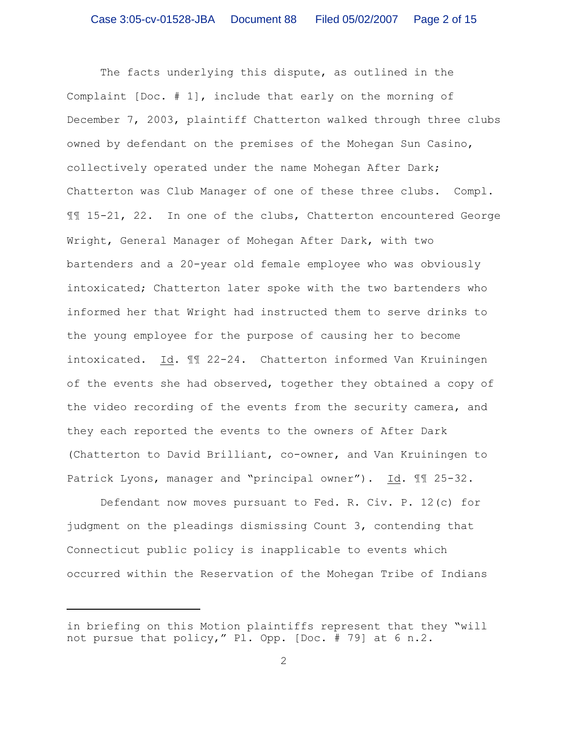The facts underlying this dispute, as outlined in the Complaint [Doc. # 1], include that early on the morning of December 7, 2003, plaintiff Chatterton walked through three clubs owned by defendant on the premises of the Mohegan Sun Casino, collectively operated under the name Mohegan After Dark; Chatterton was Club Manager of one of these three clubs. Compl. ¶¶ 15-21, 22. In one of the clubs, Chatterton encountered George Wright, General Manager of Mohegan After Dark, with two bartenders and a 20-year old female employee who was obviously intoxicated; Chatterton later spoke with the two bartenders who informed her that Wright had instructed them to serve drinks to the young employee for the purpose of causing her to become intoxicated. Id. ¶¶ 22-24. Chatterton informed Van Kruiningen of the events she had observed, together they obtained a copy of the video recording of the events from the security camera, and they each reported the events to the owners of After Dark (Chatterton to David Brilliant, co-owner, and Van Kruiningen to Patrick Lyons, manager and "principal owner"). Id. ¶¶ 25-32.

Defendant now moves pursuant to Fed. R. Civ. P. 12(c) for judgment on the pleadings dismissing Count 3, contending that Connecticut public policy is inapplicable to events which occurred within the Reservation of the Mohegan Tribe of Indians

in briefing on this Motion plaintiffs represent that they "will not pursue that policy," Pl. Opp. [Doc. # 79] at 6 n.2.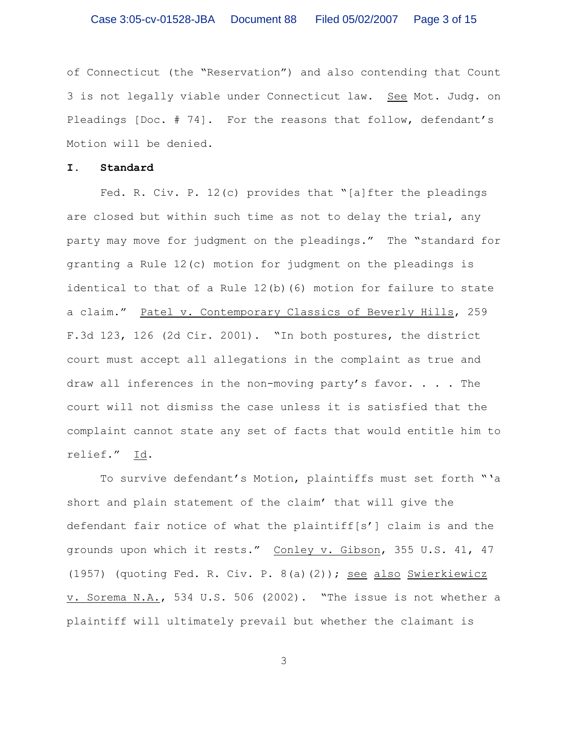of Connecticut (the "Reservation") and also contending that Count 3 is not legally viable under Connecticut law. See Mot. Judg. on Pleadings [Doc. # 74]. For the reasons that follow, defendant's Motion will be denied.

### **I. Standard**

Fed. R. Civ. P. 12(c) provides that "[a]fter the pleadings are closed but within such time as not to delay the trial, any party may move for judgment on the pleadings." The "standard for granting a Rule 12(c) motion for judgment on the pleadings is identical to that of a Rule 12(b)(6) motion for failure to state a claim." Patel v. Contemporary Classics of Beverly Hills, 259 F.3d 123, 126 (2d Cir. 2001). "In both postures, the district court must accept all allegations in the complaint as true and draw all inferences in the non-moving party's favor.  $\cdot$  . . The court will not dismiss the case unless it is satisfied that the complaint cannot state any set of facts that would entitle him to relief." Id.

To survive defendant's Motion, plaintiffs must set forth "'a short and plain statement of the claim' that will give the defendant fair notice of what the plaintiff[s'] claim is and the grounds upon which it rests." Conley v. Gibson, 355 U.S. 41, 47 (1957) (quoting Fed. R. Civ. P. 8(a)(2)); see also Swierkiewicz v. Sorema N.A., 534 U.S. 506 (2002). "The issue is not whether a plaintiff will ultimately prevail but whether the claimant is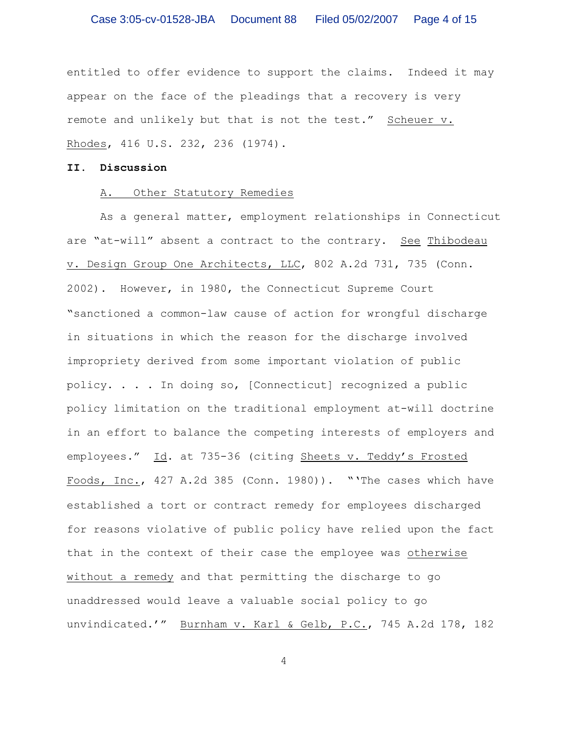entitled to offer evidence to support the claims. Indeed it may appear on the face of the pleadings that a recovery is very remote and unlikely but that is not the test." Scheuer v. Rhodes, 416 U.S. 232, 236 (1974).

### **II. Discussion**

#### A. Other Statutory Remedies

As a general matter, employment relationships in Connecticut are "at-will" absent a contract to the contrary. See Thibodeau v. Design Group One Architects, LLC, 802 A.2d 731, 735 (Conn. 2002)**.** However, in 1980, the Connecticut Supreme Court "sanctioned a common-law cause of action for wrongful discharge in situations in which the reason for the discharge involved impropriety derived from some important violation of public policy. . . . In doing so, [Connecticut] recognized a public policy limitation on the traditional employment at-will doctrine in an effort to balance the competing interests of employers and employees." Id. at 735-36 (citing Sheets v. Teddy's Frosted Foods, Inc., 427 A.2d 385 (Conn. 1980))."'The cases which have established a tort or contract remedy for employees discharged for reasons violative of public policy have relied upon the fact that in the context of their case the employee was otherwise without a remedy and that permitting the discharge to go unaddressed would leave a valuable social policy to go unvindicated.'" Burnham v. Karl & Gelb, P.C., 745 A.2d 178, 182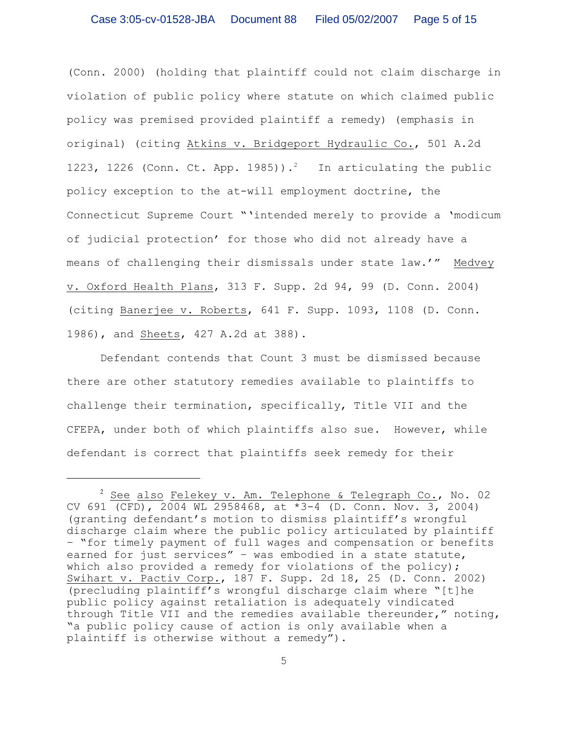(Conn. 2000) (holding that plaintiff could not claim discharge in violation of public policy where statute on which claimed public policy was premised provided plaintiff a remedy) (emphasis in original) (citing Atkins v. Bridgeport Hydraulic Co., 501 A.2d 1223, 1226 (Conn. Ct. App. 1985)).<sup>2</sup> In articulating the public policy exception to the at-will employment doctrine, the Connecticut Supreme Court "'intended merely to provide a 'modicum of judicial protection' for those who did not already have a means of challenging their dismissals under state law.'" Medvey v. Oxford Health Plans, 313 F. Supp. 2d 94, 99 (D. Conn. 2004) (citing Banerjee v. Roberts, 641 F. Supp. 1093, 1108 (D. Conn. 1986), and Sheets, 427 A.2d at 388).

Defendant contends that Count 3 must be dismissed because there are other statutory remedies available to plaintiffs to challenge their termination, specifically, Title VII and the CFEPA, under both of which plaintiffs also sue. However, while defendant is correct that plaintiffs seek remedy for their

 $2$  See also Felekey v. Am. Telephone & Telegraph Co., No. 02 CV 691 (CFD), 2004 WL 2958468, at \*3-4 (D. Conn. Nov. 3, 2004) (granting defendant's motion to dismiss plaintiff's wrongful discharge claim where the public policy articulated by plaintiff – "for timely payment of full wages and compensation or benefits earned for just services" – was embodied in a state statute, which also provided a remedy for violations of the policy); Swihart v. Pactiv Corp., 187 F. Supp. 2d 18, 25 (D. Conn. 2002) (precluding plaintiff's wrongful discharge claim where "[t]he public policy against retaliation is adequately vindicated through Title VII and the remedies available thereunder," noting, "a public policy cause of action is only available when a plaintiff is otherwise without a remedy").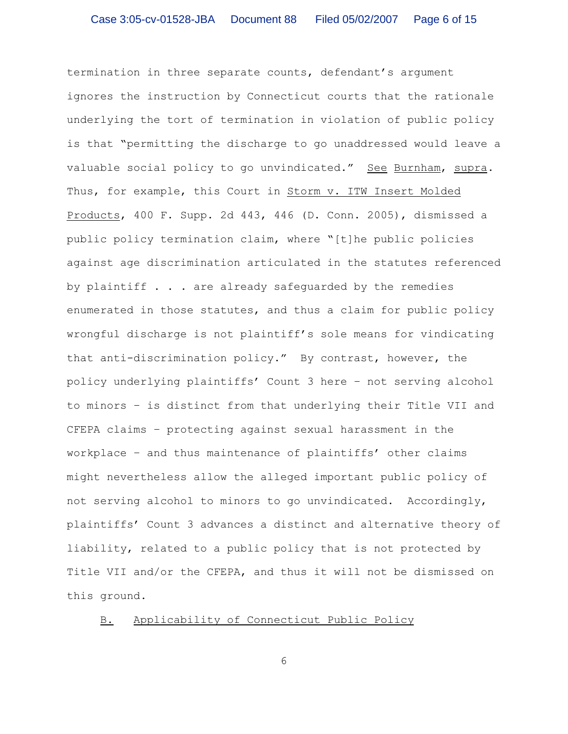termination in three separate counts, defendant's argument ignores the instruction by Connecticut courts that the rationale underlying the tort of termination in violation of public policy is that "permitting the discharge to go unaddressed would leave a valuable social policy to go unvindicated." See Burnham, supra. Thus, for example, this Court in Storm v. ITW Insert Molded Products, 400 F. Supp. 2d 443, 446 (D. Conn. 2005), dismissed a public policy termination claim, where "[t]he public policies against age discrimination articulated in the statutes referenced by plaintiff  $\ldots$  are already safequarded by the remedies enumerated in those statutes, and thus a claim for public policy wrongful discharge is not plaintiff's sole means for vindicating that anti-discrimination policy." By contrast, however, the policy underlying plaintiffs' Count 3 here – not serving alcohol to minors – is distinct from that underlying their Title VII and CFEPA claims – protecting against sexual harassment in the workplace – and thus maintenance of plaintiffs' other claims might nevertheless allow the alleged important public policy of not serving alcohol to minors to go unvindicated. Accordingly, plaintiffs' Count 3 advances a distinct and alternative theory of liability, related to a public policy that is not protected by Title VII and/or the CFEPA, and thus it will not be dismissed on this ground.

B. Applicability of Connecticut Public Policy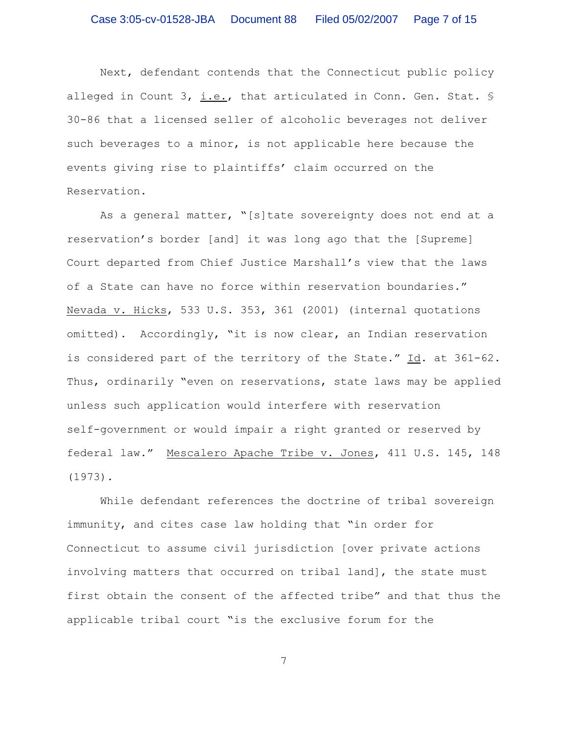Next, defendant contends that the Connecticut public policy alleged in Count 3, i.e., that articulated in Conn. Gen. Stat. § 30-86 that a licensed seller of alcoholic beverages not deliver such beverages to a minor, is not applicable here because the events giving rise to plaintiffs' claim occurred on the Reservation.

As a general matter, "[s]tate sovereignty does not end at a reservation's border [and] it was long ago that the [Supreme] Court departed from Chief Justice Marshall's view that the laws of a State can have no force within reservation boundaries." Nevada v. Hicks, 533 U.S. 353, 361 (2001) (internal quotations omitted). Accordingly, "it is now clear, an Indian reservation is considered part of the territory of the State." Id. at 361-62. Thus, ordinarily "even on reservations, state laws may be applied unless such application would interfere with reservation self-government or would impair a right granted or reserved by federal law." Mescalero Apache Tribe v. Jones, 411 U.S. 145, 148 (1973).

While defendant references the doctrine of tribal sovereign immunity, and cites case law holding that "in order for Connecticut to assume civil jurisdiction [over private actions involving matters that occurred on tribal land], the state must first obtain the consent of the affected tribe" and that thus the applicable tribal court "is the exclusive forum for the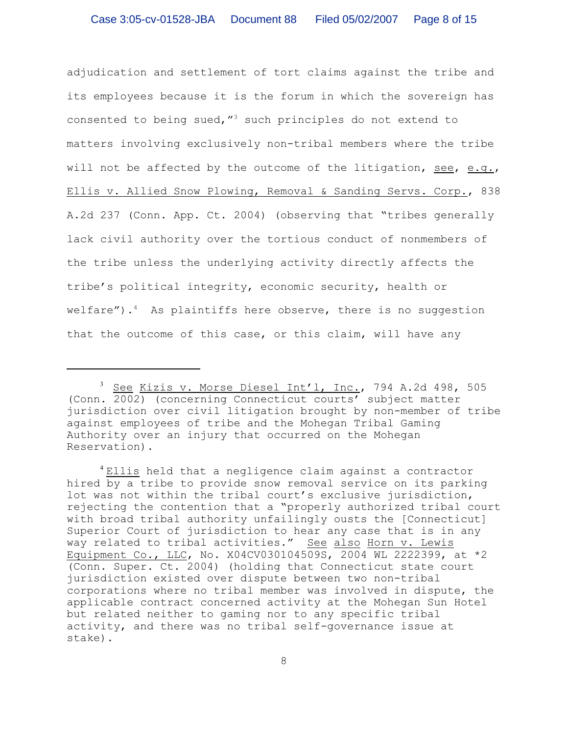adjudication and settlement of tort claims against the tribe and its employees because it is the forum in which the sovereign has consented to being sued,  $^{\prime\prime}$  such principles do not extend to matters involving exclusively non-tribal members where the tribe will not be affected by the outcome of the litigation, see, e.g., Ellis v. Allied Snow Plowing, Removal & Sanding Servs. Corp., 838 A.2d 237 (Conn. App. Ct. 2004) (observing that "tribes generally lack civil authority over the tortious conduct of nonmembers of the tribe unless the underlying activity directly affects the tribe's political integrity, economic security, health or welfare").<sup>4</sup> As plaintiffs here observe, there is no suggestion that the outcome of this case, or this claim, will have any

<sup>&</sup>lt;sup>3</sup> See Kizis v. Morse Diesel Int'l, Inc., 794 A.2d 498, 505 (Conn. 2002) (concerning Connecticut courts' subject matter jurisdiction over civil litigation brought by non-member of tribe against employees of tribe and the Mohegan Tribal Gaming Authority over an injury that occurred on the Mohegan Reservation).

<sup>&</sup>lt;sup>4</sup> Ellis held that a negligence claim against a contractor hired by a tribe to provide snow removal service on its parking lot was not within the tribal court's exclusive jurisdiction, rejecting the contention that a "properly authorized tribal court with broad tribal authority unfailingly ousts the [Connecticut] Superior Court of jurisdiction to hear any case that is in any way related to tribal activities." See also Horn v. Lewis Equipment Co., LLC, No. X04CV030104509S, 2004 WL 2222399, at \*2 (Conn. Super. Ct. 2004) (holding that Connecticut state court jurisdiction existed over dispute between two non-tribal corporations where no tribal member was involved in dispute, the applicable contract concerned activity at the Mohegan Sun Hotel but related neither to gaming nor to any specific tribal activity, and there was no tribal self-governance issue at stake).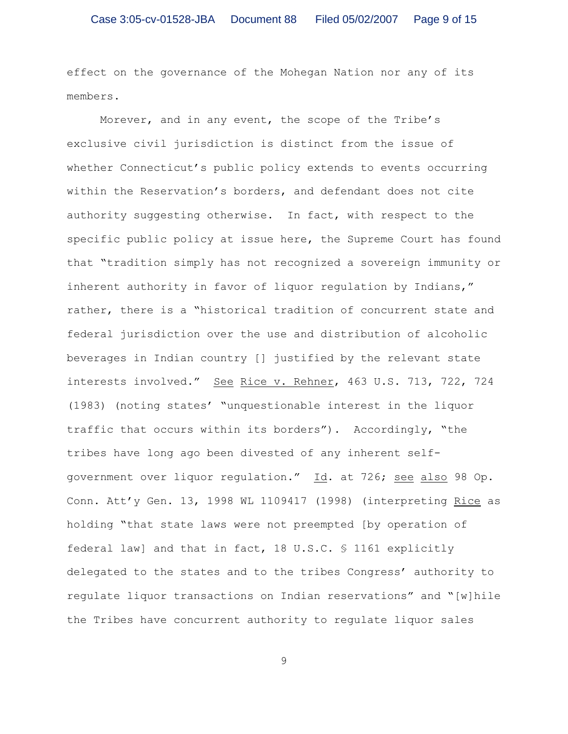effect on the governance of the Mohegan Nation nor any of its members.

Morever, and in any event, the scope of the Tribe's exclusive civil jurisdiction is distinct from the issue of whether Connecticut's public policy extends to events occurring within the Reservation's borders, and defendant does not cite authority suggesting otherwise. In fact, with respect to the specific public policy at issue here, the Supreme Court has found that "tradition simply has not recognized a sovereign immunity or inherent authority in favor of liquor regulation by Indians," rather, there is a "historical tradition of concurrent state and federal jurisdiction over the use and distribution of alcoholic beverages in Indian country [] justified by the relevant state interests involved." See Rice v. Rehner, 463 U.S. 713, 722, 724 (1983) (noting states' "unquestionable interest in the liquor traffic that occurs within its borders"). Accordingly, "the tribes have long ago been divested of any inherent selfgovernment over liquor regulation." Id. at 726; see also 98 Op. Conn. Att'y Gen. 13, 1998 WL 1109417 (1998) (interpreting Rice as holding "that state laws were not preempted [by operation of federal law] and that in fact, 18 U.S.C. § 1161 explicitly delegated to the states and to the tribes Congress' authority to regulate liquor transactions on Indian reservations" and "[w]hile the Tribes have concurrent authority to regulate liquor sales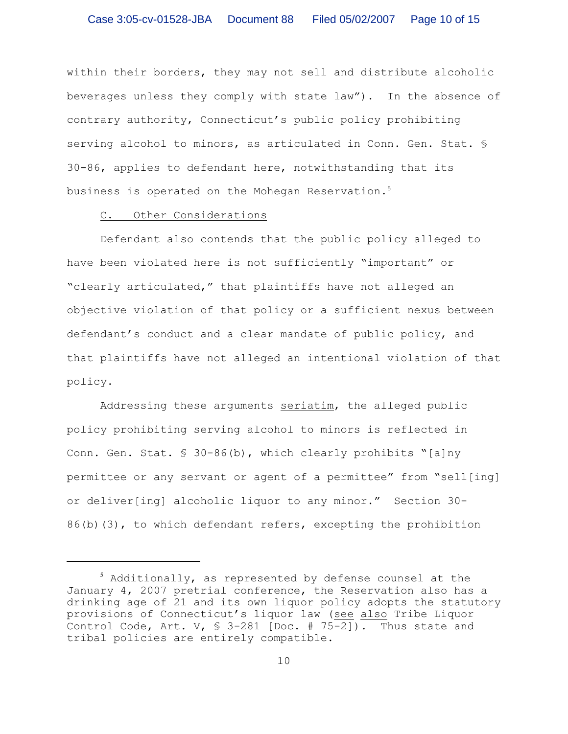within their borders, they may not sell and distribute alcoholic beverages unless they comply with state law"). In the absence of contrary authority, Connecticut's public policy prohibiting serving alcohol to minors, as articulated in Conn. Gen. Stat. § 30-86, applies to defendant here, notwithstanding that its business is operated on the Mohegan Reservation.<sup>5</sup>

#### C. Other Considerations

Defendant also contends that the public policy alleged to have been violated here is not sufficiently "important" or "clearly articulated," that plaintiffs have not alleged an objective violation of that policy or a sufficient nexus between defendant's conduct and a clear mandate of public policy, and that plaintiffs have not alleged an intentional violation of that policy.

Addressing these arguments seriatim, the alleged public policy prohibiting serving alcohol to minors is reflected in Conn. Gen. Stat. § 30-86(b), which clearly prohibits "[a]ny permittee or any servant or agent of a permittee" from "sell[ing] or deliver[ing] alcoholic liquor to any minor." Section 30- 86(b)(3), to which defendant refers, excepting the prohibition

 $5$  Additionally, as represented by defense counsel at the January 4, 2007 pretrial conference, the Reservation also has a drinking age of 21 and its own liquor policy adopts the statutory provisions of Connecticut's liquor law (see also Tribe Liquor Control Code, Art. V,  $\frac{1}{5}$  3-281 [Doc. # 75-2]). Thus state and tribal policies are entirely compatible.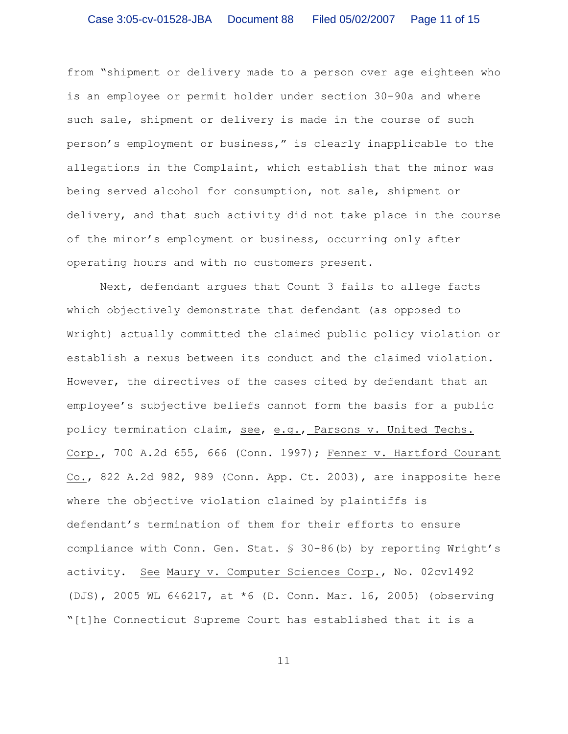from "shipment or delivery made to a person over age eighteen who is an employee or permit holder under section 30-90a and where such sale, shipment or delivery is made in the course of such person's employment or business," is clearly inapplicable to the allegations in the Complaint, which establish that the minor was being served alcohol for consumption, not sale, shipment or delivery, and that such activity did not take place in the course of the minor's employment or business, occurring only after operating hours and with no customers present.

Next, defendant argues that Count 3 fails to allege facts which objectively demonstrate that defendant (as opposed to Wright) actually committed the claimed public policy violation or establish a nexus between its conduct and the claimed violation. However, the directives of the cases cited by defendant that an employee's subjective beliefs cannot form the basis for a public policy termination claim, see, e.g., Parsons v. United Techs. Corp., 700 A.2d 655, 666 (Conn. 1997); Fenner v. Hartford Courant Co., 822 A.2d 982, 989 (Conn. App. Ct. 2003), are inapposite here where the objective violation claimed by plaintiffs is defendant's termination of them for their efforts to ensure compliance with Conn. Gen. Stat. § 30-86(b) by reporting Wright's activity. See Maury v. Computer Sciences Corp., No. 02cv1492 (DJS), 2005 WL 646217, at \*6 (D. Conn. Mar. 16, 2005) (observing "[t]he Connecticut Supreme Court has established that it is a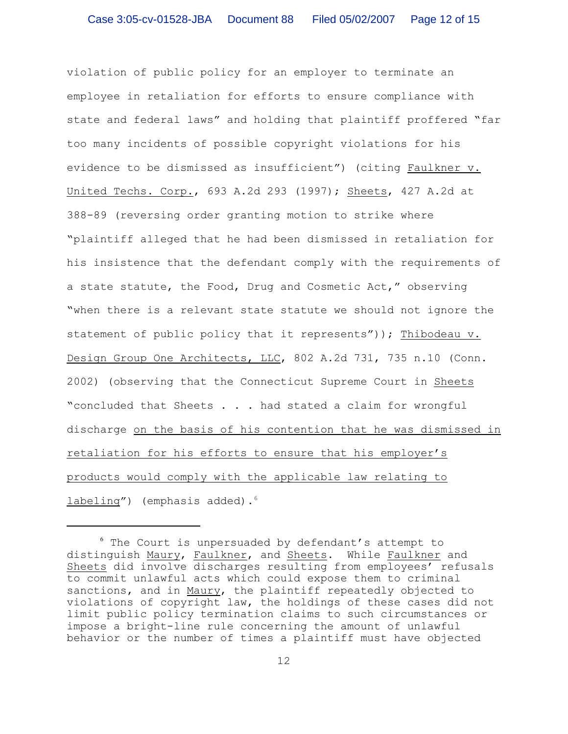violation of public policy for an employer to terminate an employee in retaliation for efforts to ensure compliance with state and federal laws" and holding that plaintiff proffered "far too many incidents of possible copyright violations for his evidence to be dismissed as insufficient") (citing Faulkner v. United Techs. Corp., 693 A.2d 293 (1997); Sheets, 427 A.2d at 388-89 (reversing order granting motion to strike where "plaintiff alleged that he had been dismissed in retaliation for his insistence that the defendant comply with the requirements of a state statute, the Food, Drug and Cosmetic Act," observing "when there is a relevant state statute we should not ignore the statement of public policy that it represents")); Thibodeau v. Design Group One Architects, LLC, 802 A.2d 731, 735 n.10 (Conn. 2002) (observing that the Connecticut Supreme Court in Sheets "concluded that Sheets . . . had stated a claim for wrongful discharge on the basis of his contention that he was dismissed in retaliation for his efforts to ensure that his employer's products would comply with the applicable law relating to labeling") (emphasis added).<sup>6</sup>

 $6$  The Court is unpersuaded by defendant's attempt to distinguish Maury, Faulkner, and Sheets. While Faulkner and Sheets did involve discharges resulting from employees' refusals to commit unlawful acts which could expose them to criminal sanctions, and in Maury, the plaintiff repeatedly objected to violations of copyright law, the holdings of these cases did not limit public policy termination claims to such circumstances or impose a bright-line rule concerning the amount of unlawful behavior or the number of times a plaintiff must have objected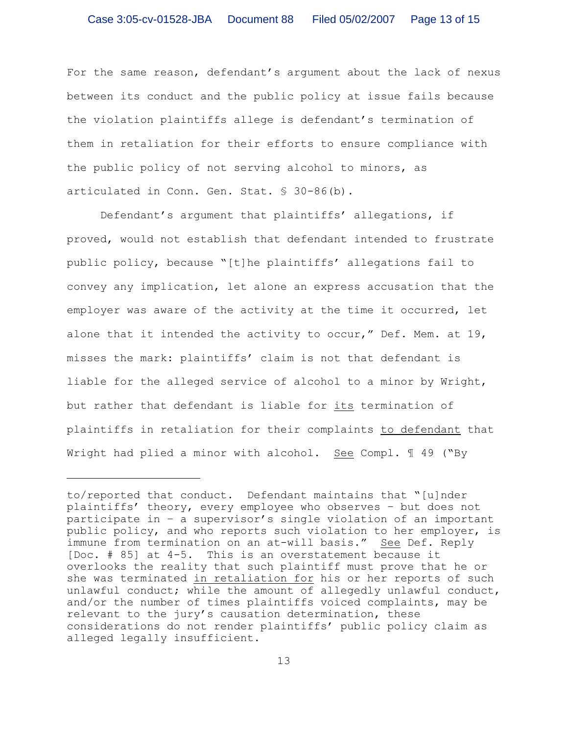For the same reason, defendant's argument about the lack of nexus between its conduct and the public policy at issue fails because the violation plaintiffs allege is defendant's termination of them in retaliation for their efforts to ensure compliance with the public policy of not serving alcohol to minors, as articulated in Conn. Gen. Stat. § 30-86(b).

Defendant's argument that plaintiffs' allegations, if proved, would not establish that defendant intended to frustrate public policy, because "[t]he plaintiffs' allegations fail to convey any implication, let alone an express accusation that the employer was aware of the activity at the time it occurred, let alone that it intended the activity to occur," Def. Mem. at 19, misses the mark: plaintiffs' claim is not that defendant is liable for the alleged service of alcohol to a minor by Wright, but rather that defendant is liable for its termination of plaintiffs in retaliation for their complaints to defendant that Wright had plied a minor with alcohol. See Compl. 1 49 ("By

to/reported that conduct. Defendant maintains that "[u]nder plaintiffs' theory, every employee who observes – but does not participate in – a supervisor's single violation of an important public policy, and who reports such violation to her employer, is immune from termination on an at-will basis." See Def. Reply [Doc. # 85] at 4-5. This is an overstatement because it overlooks the reality that such plaintiff must prove that he or she was terminated in retaliation for his or her reports of such unlawful conduct; while the amount of allegedly unlawful conduct, and/or the number of times plaintiffs voiced complaints, may be relevant to the jury's causation determination, these considerations do not render plaintiffs' public policy claim as alleged legally insufficient.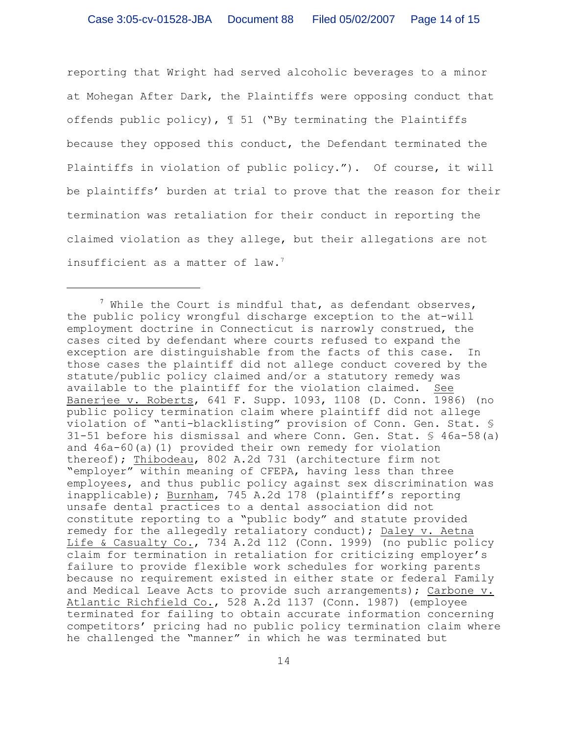reporting that Wright had served alcoholic beverages to a minor at Mohegan After Dark, the Plaintiffs were opposing conduct that offends public policy), ¶ 51 ("By terminating the Plaintiffs because they opposed this conduct, the Defendant terminated the Plaintiffs in violation of public policy."). Of course, it will be plaintiffs' burden at trial to prove that the reason for their termination was retaliation for their conduct in reporting the claimed violation as they allege, but their allegations are not insufficient as a matter of law.<sup>7</sup>

 $^7$  While the Court is mindful that, as defendant observes, the public policy wrongful discharge exception to the at-will employment doctrine in Connecticut is narrowly construed, the cases cited by defendant where courts refused to expand the exception are distinguishable from the facts of this case. In those cases the plaintiff did not allege conduct covered by the statute/public policy claimed and/or a statutory remedy was available to the plaintiff for the violation claimed. See Banerjee v. Roberts, 641 F. Supp. 1093, 1108 (D. Conn. 1986) (no public policy termination claim where plaintiff did not allege violation of "anti-blacklisting" provision of Conn. Gen. Stat. § 31-51 before his dismissal and where Conn. Gen. Stat. § 46a-58(a) and 46a-60(a)(1) provided their own remedy for violation thereof); Thibodeau, 802 A.2d 731 (architecture firm not "employer" within meaning of CFEPA, having less than three employees, and thus public policy against sex discrimination was inapplicable); Burnham, 745 A.2d 178 (plaintiff's reporting unsafe dental practices to a dental association did not constitute reporting to a "public body" and statute provided remedy for the allegedly retaliatory conduct); Daley v. Aetna Life & Casualty Co., 734 A.2d 112 (Conn. 1999) (no public policy claim for termination in retaliation for criticizing employer's failure to provide flexible work schedules for working parents because no requirement existed in either state or federal Family and Medical Leave Acts to provide such arrangements); Carbone v. Atlantic Richfield Co., 528 A.2d 1137 (Conn. 1987) (employee terminated for failing to obtain accurate information concerning competitors' pricing had no public policy termination claim where he challenged the "manner" in which he was terminated but